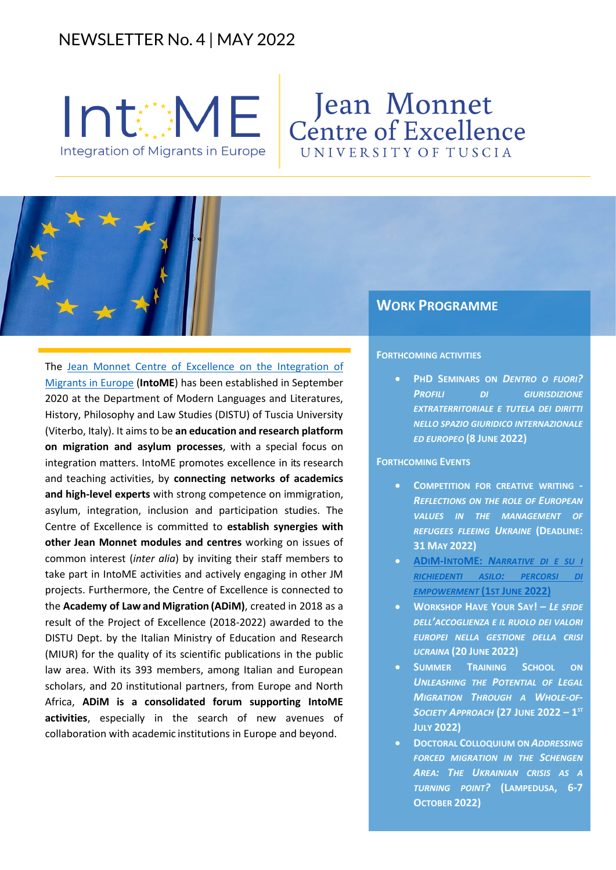# NEWSLETTER No. 4 | MAY 2022



# Jean Monnet<br>Centre of Excellence UNIVERSITY OF TUSCIA

## The [Jean Monnet Centre of Excellence](https://www.intome.eu/) on the Integration of [Migrants in Europe](https://www.intome.eu/) (**IntoME**) has been established in September 2020 at the Department of Modern Languages and Literatures, History, Philosophy and Law Studies (DISTU) of Tuscia University (Viterbo, Italy). It aims to be **an education and research platform on migration and asylum processes**, with a special focus on integration matters. IntoME promotes excellence in its research and teaching activities, by **connecting networks of academics and high-level experts** with strong competence on immigration, asylum, integration, inclusion and participation studies. The Centre of Excellence is committed to **establish synergies with other Jean Monnet modules and centres** working on issues of common interest (*inter alia*) by inviting their staff members to take part in IntoME activities and actively engaging in other JM projects. Furthermore, the Centre of Excellence is connected to the **Academy of Law and Migration (ADiM)**, created in 2018 as a result of the Project of Excellence (2018-2022) awarded to the DISTU Dept. by the Italian Ministry of Education and Research (MIUR) for the quality of its scientific publications in the public law area. With its 393 members, among Italian and European scholars, and 20 institutional partners, from Europe and North Africa, **ADiM is a consolidated forum supporting IntoME activities**, especially in the search of new avenues of collaboration with academic institutions in Europe and beyond.

### **WORK PROGRAMME**

#### **FORTHCOMING ACTIVITIES**

• **PHD SEMINARS ON** *DENTRO O FUORI? PROFILI DI GIURISDIZIONE EXTRATERRITORIALE E TUTELA DEI DIRITTI NELLO SPAZIO GIURIDICO INTERNAZIONALE ED EUROPEO* **(8 JUNE 2022)**

#### **FORTHCOMING EVENTS**

- **COMPETITION FOR CREATIVE WRITING -** *REFLECTIONS ON THE ROLE OF EUROPEAN VALUES IN THE MANAGEMENT OF REFUGEES FLEEING UKRAINE* **(DEADLINE: 31 MAY 2022)**
- **ADIM-INTOME:** *N[ARRATIVE DI E SU I](https://www.migrazionieuropadiritto.it/wp-content/uploads/2022/04/SodaPDF-processed-Aperitivo1giugno2022.x48392.pdf)  [RICHIEDENTI ASILO](https://www.migrazionieuropadiritto.it/wp-content/uploads/2022/04/SodaPDF-processed-Aperitivo1giugno2022.x48392.pdf): PERCORSI DI [EMPOWERMENT](https://www.migrazionieuropadiritto.it/wp-content/uploads/2022/04/SodaPDF-processed-Aperitivo1giugno2022.x48392.pdf)* **(1ST JUNE 2022)**
- **WORKSHOP HAVE YOUR SAY! –** *LE SFIDE DELL'ACCOGLIENZA E IL RUOLO DEI VALORI EUROPEI NELLA GESTIONE DELLA CRISI UCRAINA* **(20 JUNE 2022)**
- **SUMMER TRAINING SCHOOL ON**  *UNLEASHING THE POTENTIAL OF LEGAL MIGRATION THROUGH A WHOLE-OF-SOCIETY APPROACH* **(27 JUNE 2022 – 1 ST JULY 2022)**
- **DOCTORAL COLLOQUIUM ON** *ADDRESSING*  **FORCED MIGRATION IN THE SCHENGEN** *AREA: THE UKRAINIAN CRISIS AS A TURNING POINT?* **(LAMPEDUSA, 6-7 OCTOBER 2022)**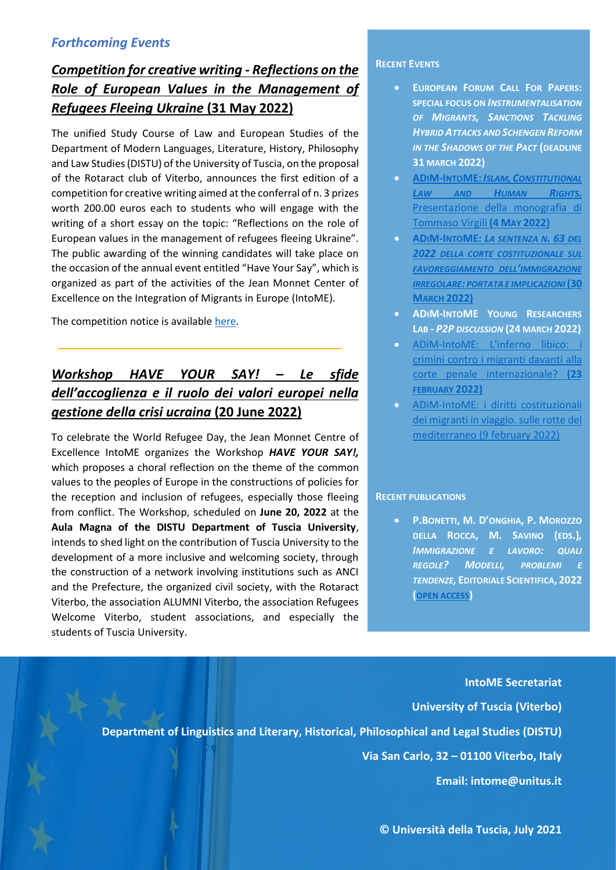### *Forthcoming Events*

## *Competition for creative writing - Reflections on the Role of European Values in the Management of Refugees Fleeing Ukraine* **(31 May 2022)**

The unified Study Course of Law and European Studies of the Department of Modern Languages, Literature, History, Philosophy and Law Studies (DISTU) of the University of Tuscia, on the proposal of the Rotaract club of Viterbo, announces the first edition of a competition for creative writing aimed at the conferral of n. 3 prizes worth 200.00 euros each to students who will engage with the writing of a short essay on the topic: "Reflections on the role of European values in the management of refugees fleeing Ukraine". The public awarding of the winning candidates will take place on the occasion of the annual event entitled "Have Your Say", which is organized as part of the activities of the Jean Monnet Center of Excellence on the Integration of Migrants in Europe (IntoME).

The competition notice is availabl[e here.](https://www.intome.eu/concorso-di-scrittura-creativa/)

# *Workshop HAVE YOUR SAY! – Le sfide dell'accoglienza e il ruolo dei valori europei nella gestione della crisi ucraina* **(20 June 2022)**

To celebrate the World Refugee Day, the Jean Monnet Centre of Excellence IntoME organizes the Workshop *HAVE YOUR SAY!,*  which proposes a choral reflection on the theme of the common values to the peoples of Europe in the constructions of policies for the reception and inclusion of refugees, especially those fleeing from conflict. The Workshop, scheduled on **June 20, 2022** at the **Aula Magna of the DISTU Department of Tuscia University**, intends to shed light on the contribution of Tuscia University to the development of a more inclusive and welcoming society, through the construction of a network involving institutions such as ANCI and the Prefecture, the organized civil society, with the Rotaract Viterbo, the association ALUMNI Viterbo, the association Refugees Welcome Viterbo, student associations, and especially the students of Tuscia University.

The Workshop's **programme** is available [here.](https://www.intome.eu/have-your-say/)

#### **RECENT EVENTS**

- **EUROPEAN FORUM CALL FOR PAPERS: SPECIAL FOCUS ON** *INSTRUMENTALISATION OF MIGRANTS, SANCTIONS TACKLING HYBRID ATTACKS AND SCHENGEN REFORM IN THE SHADOWS OF THE PACT* **(DEADLINE 31 MARCH 2022)**
- **ADIM-INTOME:***ISLAM, C[ONSTITUTIONAL](https://www.youtube.com/watch?v=bQMu5cAxd2A&t=3s)  L[AW AND](https://www.youtube.com/watch?v=bQMu5cAxd2A&t=3s) HUMAN RIGHTS.* [Presentazione della monografia di](https://www.youtube.com/watch?v=bQMu5cAxd2A&t=3s)  [Tommaso Virgili](https://www.youtube.com/watch?v=bQMu5cAxd2A&t=3s) **(4 MAY 2022)**
- **ADIM-INTOME:** *L[A SENTENZA N](https://www.youtube.com/watch?v=IKzIoKleFGg&t=283s). 63 DEL 2022 [DELLA CORTE COSTITUZIONALE SUL](https://www.youtube.com/watch?v=IKzIoKleFGg&t=283s)  [FAVOREGGIAMENTO DELL](https://www.youtube.com/watch?v=IKzIoKleFGg&t=283s)'IMMIGRAZIONE IRREGOLARE: [PORTATA E IMPLICAZIONI](https://www.youtube.com/watch?v=IKzIoKleFGg&t=283s)***(30 MARCH [2022\)](https://www.youtube.com/watch?v=IKzIoKleFGg&t=283s)**
- **ADIM-INTOME YOUNG RESEARCHERS LAB -** *P2P DISCUSSION* **(24 MARCH 2022)**
- [ADiM-IntoME: L'inferno libico: i](https://www.youtube.com/watch?v=_6T91Qzny0A)  [crimini contro i migranti davanti alla](https://www.youtube.com/watch?v=_6T91Qzny0A)  [corte penale internazionale?](https://www.youtube.com/watch?v=_6T91Qzny0A) **(23 [FEBRUARY](https://www.youtube.com/watch?v=_6T91Qzny0A) 2022)**
- [ADiM-IntoME: i diritti costituzionali](https://www.youtube.com/watch?v=v0lN_FYM_Ys&t=3s)  [dei migranti in viaggio. sulle rotte del](https://www.youtube.com/watch?v=v0lN_FYM_Ys&t=3s)  mediterraneo [\(9 february 2022\)](https://www.youtube.com/watch?v=v0lN_FYM_Ys&t=3s)

#### **RECENT PUBLICATIONS**

• **P.BONETTI, M. D'ONGHIA, P. MOROZZO DELLA ROCCA, M. SAVINO (EDS.)***, IMMIGRAZIONE E LAVORO: QUALI REGOLE? MODELLI, PROBLEMI E TENDENZE,* **EDITORIALE SCIENTIFICA, 2022 ([OPEN ACCESS](https://www.editorialescientifica.com/shop/e-book/immigrazione-e-lavoro-quali-regole-detail.html))**

*Executive Staff***: M. Savino, D. Vitiello, G. Del Turco IntoME Secretariat University of Tuscia (Viterbo) Department of Linguistics and Literary, Historical, Philosophical and Legal Studies (DISTU) Via San Carlo, 32 – 01100 Viterbo, Italy Email: intome@unitus.it**

**© Università della Tuscia, July 2021**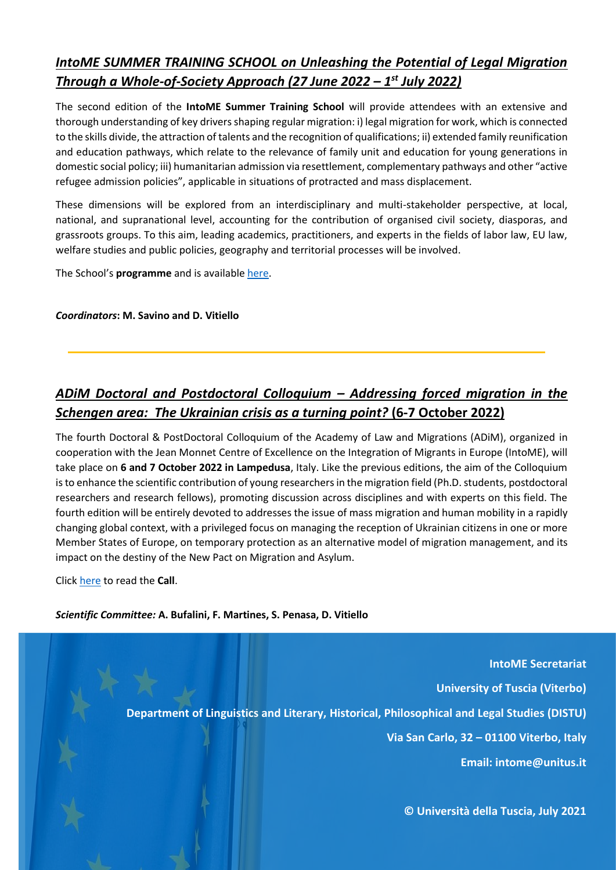## *IntoME SUMMER TRAINING SCHOOL on Unleashing the Potential of Legal Migration Through a Whole-of-Society Approach (27 June 2022 – 1 st July 2022)*

The second edition of the **IntoME Summer Training School** will provide attendees with an extensive and thorough understanding of key drivers shaping regular migration: i) legal migration for work, which is connected to the skills divide, the attraction of talents and the recognition of qualifications; ii) extended family reunification and education pathways, which relate to the relevance of family unit and education for young generations in domestic social policy; iii) humanitarian admission via resettlement, complementary pathways and other "active refugee admission policies", applicable in situations of protracted and mass displacement.

These dimensions will be explored from an interdisciplinary and multi-stakeholder perspective, at local, national, and supranational level, accounting for the contribution of organised civil society, diasporas, and grassroots groups. To this aim, leading academics, practitioners, and experts in the fields of labor law, EU law, welfare studies and public policies, geography and territorial processes will be involved.

The School's **programme** and is available [here.](https://www.intome.eu/summer-training-school-2022/)

#### *Coordinators***: M. Savino and D. Vitiello**

## *ADiM Doctoral and Postdoctoral Colloquium – Addressing forced migration in the Schengen area: The Ukrainian crisis as a turning point?* **(6-7 October 2022)**

The fourth Doctoral & PostDoctoral Colloquium of the Academy of Law and Migrations (ADiM), organized in cooperation with the Jean Monnet Centre of Excellence on the Integration of Migrants in Europe (IntoME), will take place on **6 and 7 October 2022 in Lampedusa**, Italy. Like the previous editions, the aim of the Colloquium is to enhance the scientific contribution of young researchers in the migration field (Ph.D. students, postdoctoral researchers and research fellows), promoting discussion across disciplines and with experts on this field. The fourth edition will be entirely devoted to addresses the issue of mass migration and human mobility in a rapidly changing global context, with a privileged focus on managing the reception of Ukrainian citizens in one or more Member States of Europe, on temporary protection as an alternative model of migration management, and its impact on the destiny of the New Pact on Migration and Asylum.

Click [here](https://www.intome.eu/addressing-forced-migration-in-the-schengen-area-the-ukrainian-crisis-as-a-turning-point/) to read the **Call**.

*Scientific Committee:* **A. Bufalini, F. Martines, S. Penasa, D. Vitiello**

**IntoME Secretariat University of Tuscia (Viterbo) Department of Linguistics and Literary, Historical, Philosophical and Legal Studies (DISTU) Via San Carlo, 32 – 01100 Viterbo, Italy**

**Email: intome@unitus.it**

**© Università della Tuscia, July 2021**